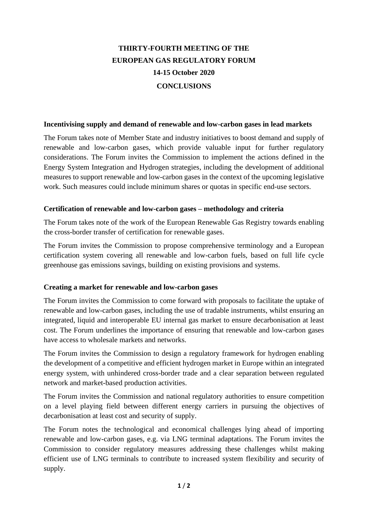# **THIRTY-FOURTH MEETING OF THE EUROPEAN GAS REGULATORY FORUM 14-15 October 2020 CONCLUSIONS**

## **Incentivising supply and demand of renewable and low-carbon gases in lead markets**

The Forum takes note of Member State and industry initiatives to boost demand and supply of renewable and low-carbon gases, which provide valuable input for further regulatory considerations. The Forum invites the Commission to implement the actions defined in the Energy System Integration and Hydrogen strategies, including the development of additional measures to support renewable and low-carbon gases in the context of the upcoming legislative work. Such measures could include minimum shares or quotas in specific end-use sectors.

#### **Certification of renewable and low-carbon gases – methodology and criteria**

The Forum takes note of the work of the European Renewable Gas Registry towards enabling the cross-border transfer of certification for renewable gases.

The Forum invites the Commission to propose comprehensive terminology and a European certification system covering all renewable and low-carbon fuels, based on full life cycle greenhouse gas emissions savings, building on existing provisions and systems.

# **Creating a market for renewable and low-carbon gases**

The Forum invites the Commission to come forward with proposals to facilitate the uptake of renewable and low-carbon gases, including the use of tradable instruments, whilst ensuring an integrated, liquid and interoperable EU internal gas market to ensure decarbonisation at least cost. The Forum underlines the importance of ensuring that renewable and low-carbon gases have access to wholesale markets and networks.

The Forum invites the Commission to design a regulatory framework for hydrogen enabling the development of a competitive and efficient hydrogen market in Europe within an integrated energy system, with unhindered cross-border trade and a clear separation between regulated network and market-based production activities.

The Forum invites the Commission and national regulatory authorities to ensure competition on a level playing field between different energy carriers in pursuing the objectives of decarbonisation at least cost and security of supply.

The Forum notes the technological and economical challenges lying ahead of importing renewable and low-carbon gases, e.g. via LNG terminal adaptations. The Forum invites the Commission to consider regulatory measures addressing these challenges whilst making efficient use of LNG terminals to contribute to increased system flexibility and security of supply.